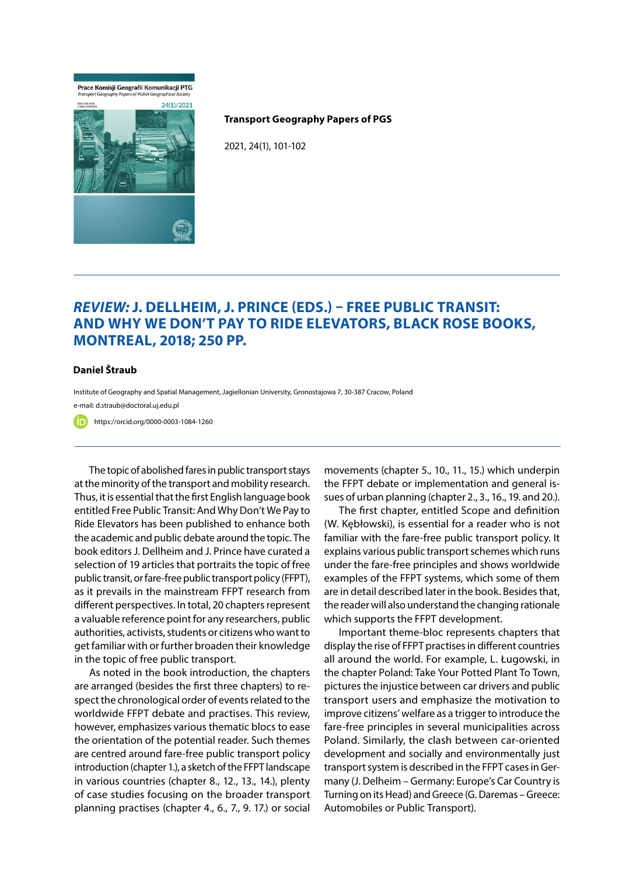## Prace Komisji Geografii Komunikacji PTG



## **Transport Geography Papers of PGS**

2021, 24(1), 101-102

## *Review:* **J. Dellheim, J. Prince (eds.) – Free public transit: and why we don't pay to ride elevators, Black Rose Books, Montreal, 2018; 250 pp.**

## **Daniel Štraub**

Institute of Geography and Spatial Management, Jagiellonian University, Gronostajowa 7, 30-387 Cracow, Poland e-mail: d.straub@doctoral.uj.edu.pl

https://orcid.org/0000-0003-1084-1260ה'

The topic of abolished fares in public transport stays at the minority of the transport and mobility research. Thus, it is essential that the first English language book entitled Free Public Transit: And Why Don't We Pay to Ride Elevators has been published to enhance both the academic and public debate around the topic. The book editors J. Dellheim and J. Prince have curated a selection of 19 articles that portraits the topic of free public transit, or fare-free public transport policy (FFPT), as it prevails in the mainstream FFPT research from different perspectives. In total, 20 chapters represent a valuable reference point for any researchers, public authorities, activists, students or citizens who want to get familiar with or further broaden their knowledge in the topic of free public transport.

As noted in the book introduction, the chapters are arranged (besides the first three chapters) to respect the chronological order of events related to the worldwide FFPT debate and practises. This review, however, emphasizes various thematic blocs to ease the orientation of the potential reader. Such themes are centred around fare-free public transport policy introduction (chapter 1.), a sketch of the FFPT landscape in various countries (chapter 8., 12., 13., 14.), plenty of case studies focusing on the broader transport planning practises (chapter 4., 6., 7., 9. 17.) or social movements (chapter 5., 10., 11., 15.) which underpin the FFPT debate or implementation and general issues of urban planning (chapter 2., 3., 16., 19. and 20.).

The first chapter, entitled Scope and definition (W. Kębłowski), is essential for a reader who is not familiar with the fare-free public transport policy. It explains various public transport schemes which runs under the fare-free principles and shows worldwide examples of the FFPT systems, which some of them are in detail described later in the book. Besides that, the reader will also understand the changing rationale which supports the FFPT development.

Important theme-bloc represents chapters that display the rise of FFPT practises in different countries all around the world. For example, L. Ługowski, in the chapter Poland: Take Your Potted Plant To Town, pictures the injustice between car drivers and public transport users and emphasize the motivation to improve citizens' welfare as a trigger to introduce the fare-free principles in several municipalities across Poland. Similarly, the clash between car-oriented development and socially and environmentally just transport system is described in the FFPT cases in Germany (J. Delheim – Germany: Europe's Car Country is Turning on its Head) and Greece (G. Daremas – Greece: Automobiles or Public Transport).